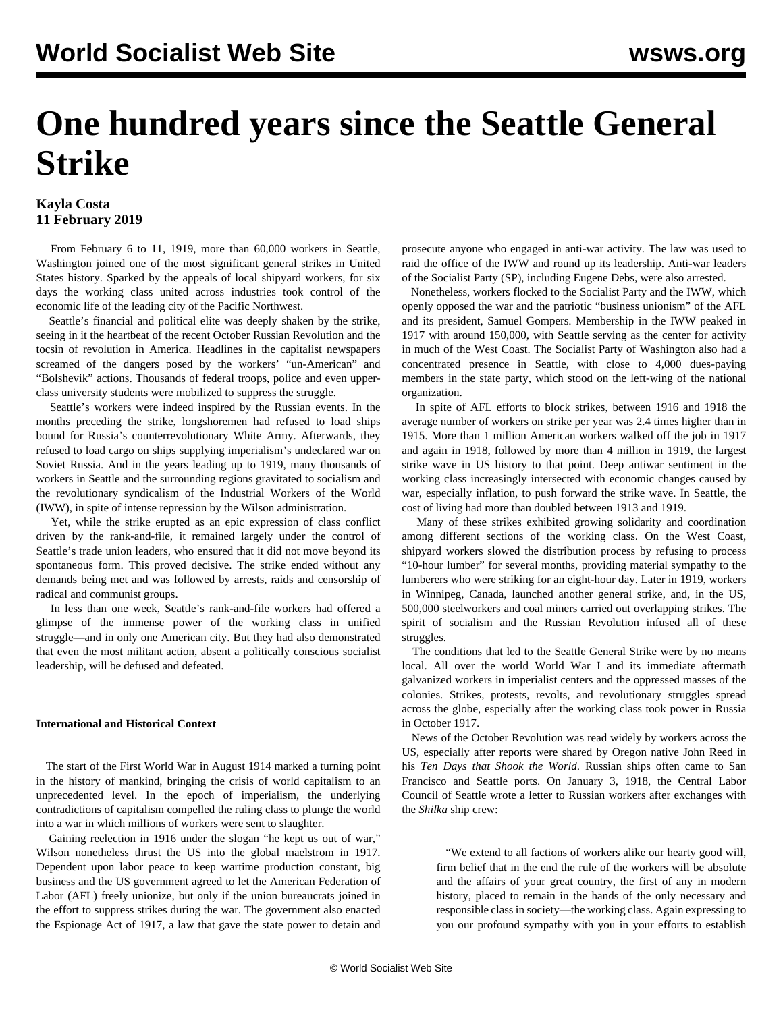# **One hundred years since the Seattle General Strike**

### **Kayla Costa 11 February 2019**

 From February 6 to 11, 1919, more than 60,000 workers in Seattle, Washington joined one of the most significant general strikes in United States history. Sparked by the appeals of local shipyard workers, for six days the working class united across industries took control of the economic life of the leading city of the Pacific Northwest.

 Seattle's financial and political elite was deeply shaken by the strike, seeing in it the heartbeat of the recent October Russian Revolution and the tocsin of revolution in America. Headlines in the capitalist newspapers screamed of the dangers posed by the workers' "un-American" and "Bolshevik" actions. Thousands of federal troops, police and even upperclass university students were mobilized to suppress the struggle.

 Seattle's workers were indeed inspired by the Russian events. In the months preceding the strike, longshoremen had refused to load ships bound for Russia's counterrevolutionary White Army. Afterwards, they refused to load cargo on ships supplying imperialism's undeclared war on Soviet Russia. And in the years leading up to 1919, many thousands of workers in Seattle and the surrounding regions gravitated to socialism and the revolutionary syndicalism of the Industrial Workers of the World (IWW), in spite of intense repression by the Wilson administration.

 Yet, while the strike erupted as an epic expression of class conflict driven by the rank-and-file, it remained largely under the control of Seattle's trade union leaders, who ensured that it did not move beyond its spontaneous form. This proved decisive. The strike ended without any demands being met and was followed by arrests, raids and censorship of radical and communist groups.

 In less than one week, Seattle's rank-and-file workers had offered a glimpse of the immense power of the working class in unified struggle—and in only one American city. But they had also demonstrated that even the most militant action, absent a politically conscious socialist leadership, will be defused and defeated.

#### **International and Historical Context**

 The start of the First World War in August 1914 marked a turning point in the history of mankind, bringing the crisis of world capitalism to an unprecedented level. In the epoch of imperialism, the underlying contradictions of capitalism compelled the ruling class to plunge the world into a war in which millions of workers were sent to slaughter.

 Gaining reelection in 1916 under the slogan "he kept us out of war," Wilson nonetheless thrust the US into the global maelstrom in 1917. Dependent upon labor peace to keep wartime production constant, big business and the US government agreed to let the American Federation of Labor (AFL) freely unionize, but only if the union bureaucrats joined in the effort to suppress strikes during the war. The government also enacted the Espionage Act of 1917, a law that gave the state power to detain and prosecute anyone who engaged in anti-war activity. The law was used to raid the office of the IWW and round up its leadership. Anti-war leaders of the Socialist Party (SP), including Eugene Debs, were also arrested.

 Nonetheless, workers flocked to the Socialist Party and the IWW, which openly opposed the war and the patriotic "business unionism" of the AFL and its president, Samuel Gompers. Membership in the IWW peaked in 1917 with around 150,000, with Seattle serving as the center for activity in much of the West Coast. The Socialist Party of Washington also had a concentrated presence in Seattle, with close to 4,000 dues-paying members in the state party, which stood on the left-wing of the national organization.

 In spite of AFL efforts to block strikes, between 1916 and 1918 the average number of workers on strike per year was 2.4 times higher than in 1915. More than 1 million American workers walked off the job in 1917 and again in 1918, followed by more than 4 million in 1919, the largest strike wave in US history to that point. Deep antiwar sentiment in the working class increasingly intersected with economic changes caused by war, especially inflation, to push forward the strike wave. In Seattle, the cost of living had more than doubled between 1913 and 1919.

 Many of these strikes exhibited growing solidarity and coordination among different sections of the working class. On the West Coast, shipyard workers slowed the distribution process by refusing to process "10-hour lumber" for several months, providing material sympathy to the lumberers who were striking for an eight-hour day. Later in 1919, workers in Winnipeg, Canada, launched another general strike, and, in the US, 500,000 steelworkers and coal miners carried out overlapping strikes. The spirit of socialism and the Russian Revolution infused all of these struggles.

 The conditions that led to the Seattle General Strike were by no means local. All over the world World War I and its immediate aftermath galvanized workers in imperialist centers and the oppressed masses of the colonies. Strikes, protests, revolts, and revolutionary struggles spread across the globe, especially after the working class took power in Russia in October 1917.

 News of the October Revolution was read widely by workers across the US, especially after reports were shared by Oregon native John Reed in his *Ten Days that Shook the World*. Russian ships often came to San Francisco and Seattle ports. On January 3, 1918, the Central Labor Council of Seattle wrote a letter to Russian workers after exchanges with the *Shilka* ship crew:

 "We extend to all factions of workers alike our hearty good will, firm belief that in the end the rule of the workers will be absolute and the affairs of your great country, the first of any in modern history, placed to remain in the hands of the only necessary and responsible class in society—the working class. Again expressing to you our profound sympathy with you in your efforts to establish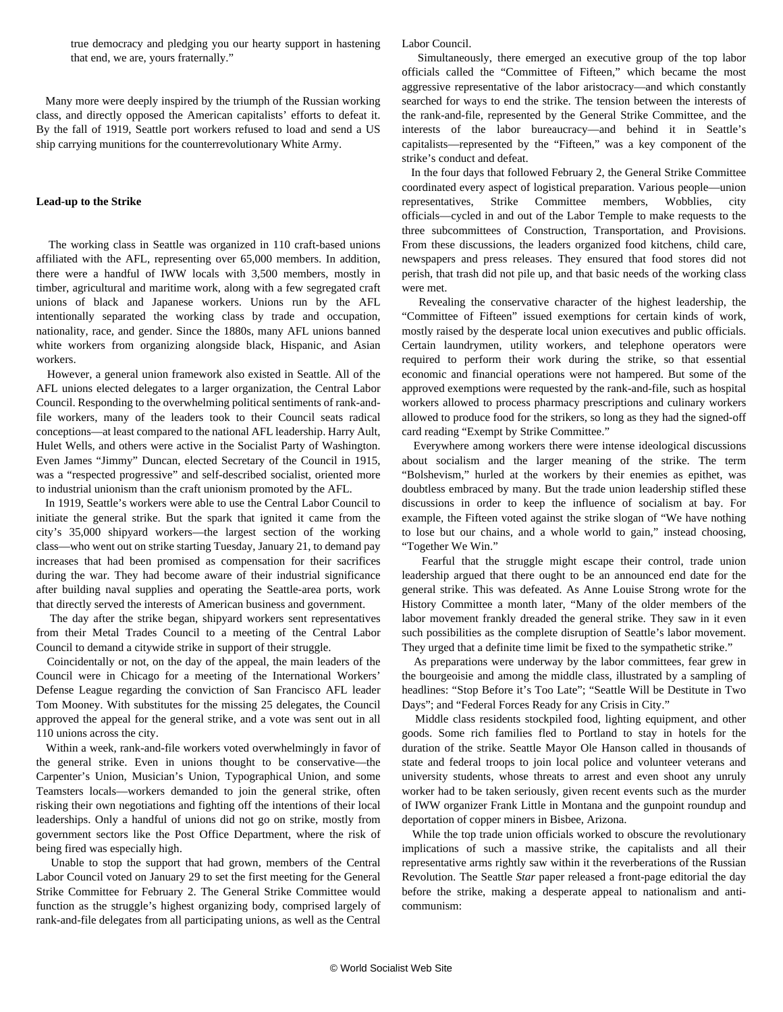true democracy and pledging you our hearty support in hastening that end, we are, yours fraternally."

 Many more were deeply inspired by the triumph of the Russian working class, and directly opposed the American capitalists' efforts to defeat it. By the fall of 1919, Seattle port workers refused to load and send a US ship carrying munitions for the counterrevolutionary White Army.

#### **Lead-up to the Strike**

 The working class in Seattle was organized in 110 craft-based unions affiliated with the AFL, representing over 65,000 members. In addition, there were a handful of IWW locals with 3,500 members, mostly in timber, agricultural and maritime work, along with a few segregated craft unions of black and Japanese workers. Unions run by the AFL intentionally separated the working class by trade and occupation, nationality, race, and gender. Since the 1880s, many AFL unions banned white workers from organizing alongside black, Hispanic, and Asian workers.

 However, a general union framework also existed in Seattle. All of the AFL unions elected delegates to a larger organization, the Central Labor Council. Responding to the overwhelming political sentiments of rank-andfile workers, many of the leaders took to their Council seats radical conceptions—at least compared to the national AFL leadership. Harry Ault, Hulet Wells, and others were active in the Socialist Party of Washington. Even James "Jimmy" Duncan, elected Secretary of the Council in 1915, was a "respected progressive" and self-described socialist, oriented more to industrial unionism than the craft unionism promoted by the AFL.

 In 1919, Seattle's workers were able to use the Central Labor Council to initiate the general strike. But the spark that ignited it came from the city's 35,000 shipyard workers—the largest section of the working class—who went out on strike starting Tuesday, January 21, to demand pay increases that had been promised as compensation for their sacrifices during the war. They had become aware of their industrial significance after building naval supplies and operating the Seattle-area ports, work that directly served the interests of American business and government.

 The day after the strike began, shipyard workers sent representatives from their Metal Trades Council to a meeting of the Central Labor Council to demand a citywide strike in support of their struggle.

 Coincidentally or not, on the day of the appeal, the main leaders of the Council were in Chicago for a meeting of the International Workers' Defense League regarding the conviction of San Francisco AFL leader Tom Mooney. With substitutes for the missing 25 delegates, the Council approved the appeal for the general strike, and a vote was sent out in all 110 unions across the city.

 Within a week, rank-and-file workers voted overwhelmingly in favor of the general strike. Even in unions thought to be conservative—the Carpenter's Union, Musician's Union, Typographical Union, and some Teamsters locals—workers demanded to join the general strike, often risking their own negotiations and fighting off the intentions of their local leaderships. Only a handful of unions did not go on strike, mostly from government sectors like the Post Office Department, where the risk of being fired was especially high.

 Unable to stop the support that had grown, members of the Central Labor Council voted on January 29 to set the first meeting for the General Strike Committee for February 2. The General Strike Committee would function as the struggle's highest organizing body, comprised largely of rank-and-file delegates from all participating unions, as well as the Central

Labor Council.

 Simultaneously, there emerged an executive group of the top labor officials called the "Committee of Fifteen," which became the most aggressive representative of the labor aristocracy—and which constantly searched for ways to end the strike. The tension between the interests of the rank-and-file, represented by the General Strike Committee, and the interests of the labor bureaucracy—and behind it in Seattle's capitalists—represented by the "Fifteen," was a key component of the strike's conduct and defeat.

 In the four days that followed February 2, the General Strike Committee coordinated every aspect of logistical preparation. Various people—union representatives, Strike Committee members, Wobblies, city officials—cycled in and out of the Labor Temple to make requests to the three subcommittees of Construction, Transportation, and Provisions. From these discussions, the leaders organized food kitchens, child care, newspapers and press releases. They ensured that food stores did not perish, that trash did not pile up, and that basic needs of the working class were met.

 Revealing the conservative character of the highest leadership, the "Committee of Fifteen" issued exemptions for certain kinds of work, mostly raised by the desperate local union executives and public officials. Certain laundrymen, utility workers, and telephone operators were required to perform their work during the strike, so that essential economic and financial operations were not hampered. But some of the approved exemptions were requested by the rank-and-file, such as hospital workers allowed to process pharmacy prescriptions and culinary workers allowed to produce food for the strikers, so long as they had the signed-off card reading "Exempt by Strike Committee."

 Everywhere among workers there were intense ideological discussions about socialism and the larger meaning of the strike. The term "Bolshevism," hurled at the workers by their enemies as epithet, was doubtless embraced by many. But the trade union leadership stifled these discussions in order to keep the influence of socialism at bay. For example, the Fifteen voted against the strike slogan of "We have nothing to lose but our chains, and a whole world to gain," instead choosing, "Together We Win."

 Fearful that the struggle might escape their control, trade union leadership argued that there ought to be an announced end date for the general strike. This was defeated. As Anne Louise Strong wrote for the History Committee a month later, "Many of the older members of the labor movement frankly dreaded the general strike. They saw in it even such possibilities as the complete disruption of Seattle's labor movement. They urged that a definite time limit be fixed to the sympathetic strike."

 As preparations were underway by the labor committees, fear grew in the bourgeoisie and among the middle class, illustrated by a sampling of headlines: "Stop Before it's Too Late"; "Seattle Will be Destitute in Two Days"; and "Federal Forces Ready for any Crisis in City."

 Middle class residents stockpiled food, lighting equipment, and other goods. Some rich families fled to Portland to stay in hotels for the duration of the strike. Seattle Mayor Ole Hanson called in thousands of state and federal troops to join local police and volunteer veterans and university students, whose threats to arrest and even shoot any unruly worker had to be taken seriously, given recent events such as the murder of IWW organizer Frank Little in Montana and the gunpoint roundup and deportation of copper miners in Bisbee, Arizona.

 While the top trade union officials worked to obscure the revolutionary implications of such a massive strike, the capitalists and all their representative arms rightly saw within it the reverberations of the Russian Revolution. The Seattle *Star* paper released a front-page editorial the day before the strike, making a desperate appeal to nationalism and anticommunism: